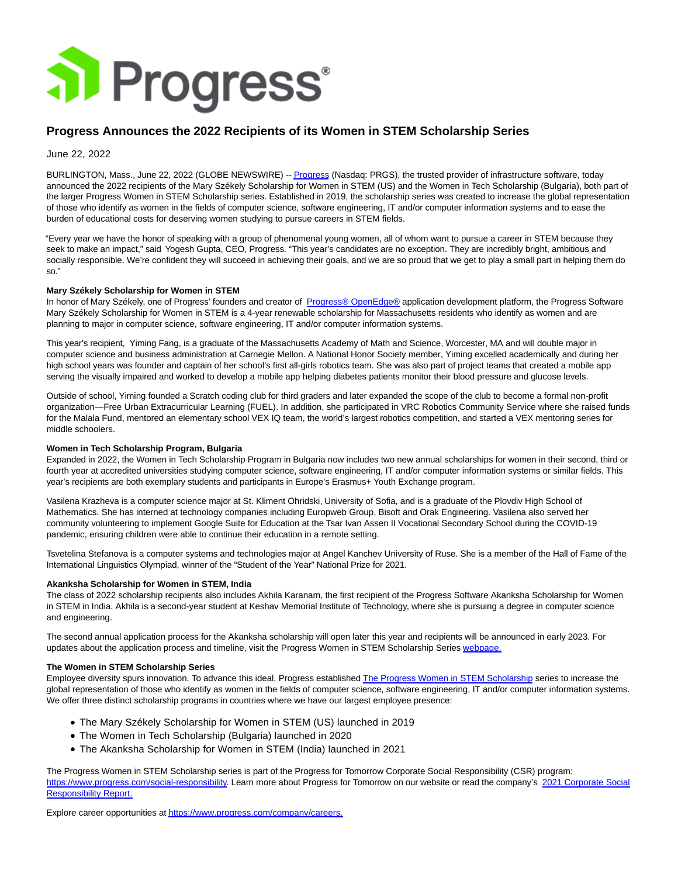

# **Progress Announces the 2022 Recipients of its Women in STEM Scholarship Series**

June 22, 2022

BURLINGTON, Mass., June 22, 2022 (GLOBE NEWSWIRE) -[- Progress \(](https://www.globenewswire.com/Tracker?data=b3JvrxczkwBa7H-8JrigoEkIx8i-IFkicl3wAAE0qLjUz-Lby6WtD_Ac9f1WpWGCy2rm-uOMSfg76crKdtYIdg==)Nasdaq: PRGS), the trusted provider of infrastructure software, today announced the 2022 recipients of the Mary Székely Scholarship for Women in STEM (US) and the Women in Tech Scholarship (Bulgaria), both part of the larger Progress Women in STEM Scholarship series. Established in 2019, the scholarship series was created to increase the global representation of those who identify as women in the fields of computer science, software engineering, IT and/or computer information systems and to ease the burden of educational costs for deserving women studying to pursue careers in STEM fields.

"Every year we have the honor of speaking with a group of phenomenal young women, all of whom want to pursue a career in STEM because they seek to make an impact," said Yogesh Gupta, CEO, Progress. "This year's candidates are no exception. They are incredibly bright, ambitious and socially responsible. We're confident they will succeed in achieving their goals, and we are so proud that we get to play a small part in helping them do so."

## **Mary Székely Scholarship for Women in STEM**

In honor of Mary Székely, one of Progress' founders and creator of [Progress® OpenEdge® a](https://www.globenewswire.com/Tracker?data=b3JvrxczkwBa7H-8JrigoDNt3YC9e4hMu57mW2to1krDNb0r4UNIDqSIBdCpC4KbmBYvWei7vLj82oiSyXcbswtoFIPbrg01VrEjICEQ3AU=)pplication development platform, the Progress Software Mary Székely Scholarship for Women in STEM is a 4-year renewable scholarship for Massachusetts residents who identify as women and are planning to major in computer science, software engineering, IT and/or computer information systems.

This year's recipient, Yiming Fang, is a graduate of the Massachusetts Academy of Math and Science, Worcester, MA and will double major in computer science and business administration at Carnegie Mellon. A National Honor Society member, Yiming excelled academically and during her high school years was founder and captain of her school's first all-girls robotics team. She was also part of project teams that created a mobile app serving the visually impaired and worked to develop a mobile app helping diabetes patients monitor their blood pressure and glucose levels.

Outside of school, Yiming founded a Scratch coding club for third graders and later expanded the scope of the club to become a formal non-profit organization—Free Urban Extracurricular Learning (FUEL). In addition, she participated in VRC Robotics Community Service where she raised funds for the Malala Fund, mentored an elementary school VEX IQ team, the world's largest robotics competition, and started a VEX mentoring series for middle schoolers.

#### **Women in Tech Scholarship Program, Bulgaria**

Expanded in 2022, the Women in Tech Scholarship Program in Bulgaria now includes two new annual scholarships for women in their second, third or fourth year at accredited universities studying computer science, software engineering, IT and/or computer information systems or similar fields. This year's recipients are both exemplary students and participants in Europe's Erasmus+ Youth Exchange program.

Vasilena Krazheva is a computer science major at St. Kliment Ohridski, University of Sofia, and is a graduate of the Plovdiv High School of Mathematics. She has interned at technology companies including Europweb Group, Bisoft and Orak Engineering. Vasilena also served her community volunteering to implement Google Suite for Education at the Tsar Ivan Assen II Vocational Secondary School during the COVID-19 pandemic, ensuring children were able to continue their education in a remote setting.

Tsvetelina Stefanova is a computer systems and technologies major at Angel Kanchev University of Ruse. She is a member of the Hall of Fame of the International Linguistics Olympiad, winner of the "Student of the Year" National Prize for 2021.

### **Akanksha Scholarship for Women in STEM, India**

The class of 2022 scholarship recipients also includes Akhila Karanam, the first recipient of the Progress Software Akanksha Scholarship for Women in STEM in India. Akhila is a second-year student at Keshav Memorial Institute of Technology, where she is pursuing a degree in computer science and engineering.

The second annual application process for the Akanksha scholarship will open later this year and recipients will be announced in early 2023. For updates about the application process and timeline, visit the Progress Women in STEM Scholarship Serie[s webpage.](https://www.globenewswire.com/Tracker?data=PWJyy00QcyAQUr_8lPvd_7rmMuz0J_lckhD7OzBLmcGYsm7bHaj3oSBYQQSUiTjvh6K6RSExUuQrCDkvvfODhjZG2LTS1u7zwUPM3_GY3BQ7HbW9cPiLPzpZ8UM47eMWiC-UzD9kDiVt9tQ9zK79h-Qg_ezJw50gAfi8HPV4mAI=)

### **The Women in STEM Scholarship Series**

Employee diversity spurs innovation. To advance this ideal, Progress established [The Progress Women in STEM Scholarship s](https://www.globenewswire.com/Tracker?data=F80_0h8-6_j_u8K9Jz48z5GKTFmtPxXTTxAOUvQ15IcQWnjwR5B16U4-m66lEpTVF6jbK4-995RNS4SQz9VV8fbYh2_wnb9t2yMpQBQsKoeRkaVTj3TZPHFy0VJWNrMjZVbNod9W5rvnUWVQ6OEmBHbmPSKndmX0o9Gd52lxliVCV1-wC6GWvF7bb_RtievAD28ZfCpmMtfQAjSwCc7GHw==)eries to increase the global representation of those who identify as women in the fields of computer science, software engineering, IT and/or computer information systems. We offer three distinct scholarship programs in countries where we have our largest employee presence:

- The Mary Székely Scholarship for Women in STEM (US) launched in 2019
- The Women in Tech Scholarship (Bulgaria) launched in 2020
- The Akanksha Scholarship for Women in STEM (India) launched in 2021

The Progress Women in STEM Scholarship series is part of the Progress for Tomorrow Corporate Social Responsibility (CSR) program: [https://www.progress.com/social-responsibility.](https://www.globenewswire.com/Tracker?data=ecJ-1J-cYHsHsyg3hT_lrLEnETncQJKkwhT4zTCIY_YrrTox-JdXaZf8P2gLP8XICcCzloQ7O3APIVPUqy9wLEiRhdbwvGnBeBizzUl8jwEXGkv4aYVj_uOBHKPGmgCuJHimQNQR6gDVCIA3BXN-KR4u_nsMTq3kb2ZS4VTJ71I=) Learn more about Progress for Tomorrow on our website or read the company's [2021 Corporate Social](https://www.globenewswire.com/Tracker?data=YGEMZQ9dPHiwt7uKKeV7gj6ZW_YAd65dU7T29TNNCazlMdYxO4gJR0C4-FEK58gzJSQPtckk4wVdfIzuudKGtsYZhAU93UC9mm-2ZSt7ktLpsWiMazoreTpJcARAJkvJvUGqoyToYbycR1xKuTiVnhqha-zJGmFRhm66uIG2BUusK11QqYU9OFsrZS4e9FWbDSuzNORSpNqatsWKlMMfhzHkVmUOfYq5-kRNB-qEXBCBqM91xBwxfb6PSzZrJNIrEjdgMpdnIIl2ctxV1c94YA==) Responsibility Report.

Explore career opportunities a[t https://www.progress.com/company/careers.](https://www.globenewswire.com/Tracker?data=ecJ-1J-cYHsHsyg3hT_lrLEnETncQJKkwhT4zTCIY_bMrHn-Hzee61qvbWSZ2F3LINvwWtiDDVNoQBUbnoIzRJDx_EKGctdstC_jz6zm7YQufgP0wfSnIYSeuyw7VeMtVBw8Fi4OMav3zbTOdu5xEQ==)